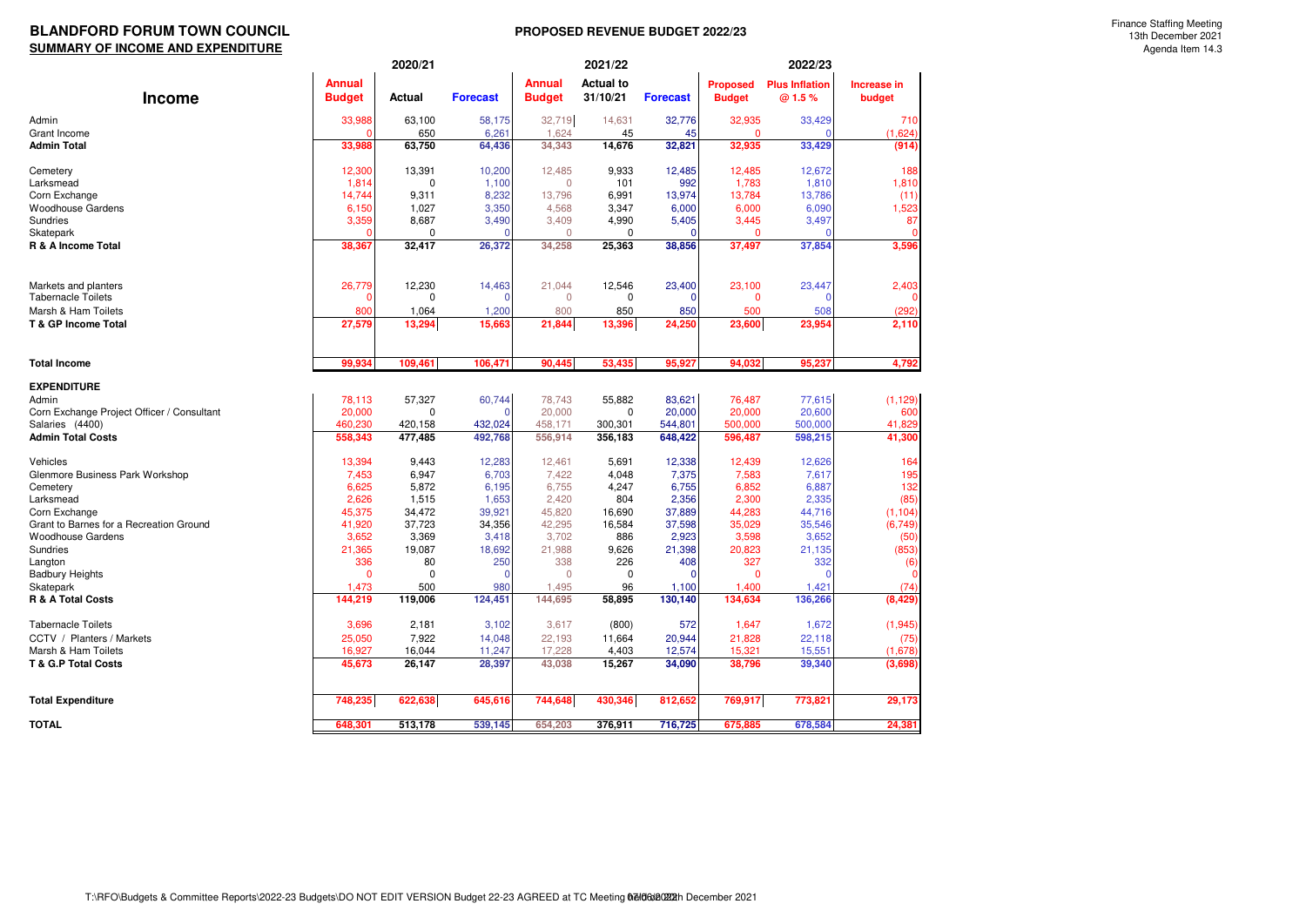## BLANDFORD FORUM TOWN COUNCIL **EXECUTE 100 ASSESSMENT PROPOSED REVENUE BUDGET 2022/23 SUMMARY OF INCOME AND EXPENDITURE**

|                                            |                 | 2020/21         |                 |                 | 2021/22          |                 | 2022/23         |                       |                  |  |
|--------------------------------------------|-----------------|-----------------|-----------------|-----------------|------------------|-----------------|-----------------|-----------------------|------------------|--|
|                                            | <b>Annual</b>   |                 |                 | <b>Annual</b>   | <b>Actual to</b> |                 | <b>Proposed</b> | <b>Plus Inflation</b> | Increase in      |  |
| <b>Income</b>                              | <b>Budget</b>   | Actual          | <b>Forecast</b> | <b>Budget</b>   | 31/10/21         | <b>Forecast</b> | <b>Budget</b>   | @ 1.5%                | budget           |  |
| Admin                                      | 33,988          | 63,100          | 58,175          | 32,719          | 14,631           | 32,776          | 32,935          | 33,429                | 710              |  |
| <b>Grant Income</b>                        |                 | 650             | 6,261           | 1,624           | 45               | 45              | $\Omega$        |                       | (1,624)          |  |
| <b>Admin Total</b>                         | 33,988          | 63,750          | 64,436          | 34,343          | 14,676           | 32,821          | 32,935          | 33,429                | (914)            |  |
|                                            |                 |                 |                 |                 |                  |                 |                 |                       |                  |  |
| Cemetery                                   | 12,300          | 13,391          | 10,200          | 12,485          | 9,933            | 12,485          | 12,485          | 12,672                | 188              |  |
| Larksmead                                  | 1,814           | $\mathbf 0$     | 1,100           | $\mathbf{0}$    | 101              | 992             | 1,783           | 1,810                 | 1,810            |  |
| Corn Exchange<br><b>Woodhouse Gardens</b>  | 14,744<br>6,150 | 9,311<br>1,027  | 8,232<br>3,350  | 13,796<br>4,568 | 6,991<br>3,347   | 13,974<br>6,000 | 13,784<br>6,000 | 13,786<br>6,090       | (11)<br>1,523    |  |
| Sundries                                   | 3,359           | 8,687           | 3,490           | 3,409           | 4,990            | 5,405           | 3,445           | 3,497                 | 87               |  |
| Skatepark                                  |                 | $\Omega$        |                 | $\Omega$        | $\Omega$         |                 | $\Omega$        |                       |                  |  |
| R & A Income Total                         | 38,367          | 32,417          | 26,372          | 34,258          | 25,363           | 38,856          | 37,497          | 37,854                | 3,596            |  |
|                                            |                 |                 |                 |                 |                  |                 |                 |                       |                  |  |
|                                            |                 |                 |                 |                 |                  |                 |                 |                       |                  |  |
| Markets and planters                       | 26,779          | 12,230          | 14,463          | 21,044          | 12,546           | 23,400          | 23,100          | 23,447                | 2,403            |  |
| <b>Tabernacle Toilets</b>                  |                 | $\Omega$        | $\Omega$        | $\Omega$        | 0                | O               | $\mathbf 0$     |                       |                  |  |
| Marsh & Ham Toilets                        | 800             | 1,064           | 1,200           | 800             | 850              | 850             | 500             | 508                   | (292)            |  |
| T & GP Income Total                        | 27,579          | 13,294          | 15,663          | 21,844          | 13,396           | 24,250          | 23,600          | 23,954                | 2,110            |  |
| <b>Total Income</b>                        | 99.934          | 109.461         | 106,471         | 90,445          | 53,435           | 95,927          | 94,032          | 95,237                | 4,792            |  |
|                                            |                 |                 |                 |                 |                  |                 |                 |                       |                  |  |
| <b>EXPENDITURE</b><br>Admin                | 78,113          | 57,327          | 60,744          | 78,743          | 55,882           | 83,621          | 76,487          | 77,615                | (1, 129)         |  |
| Corn Exchange Project Officer / Consultant | 20,000          | $\Omega$        | O               | 20,000          | 0                | 20,000          | 20,000          | 20,600                | 600              |  |
| Salaries (4400)                            | 460,230         | 420,158         | 432,024         | 458,171         | 300,301          | 544,801         | 500,000         | 500,000               | 41,829           |  |
| <b>Admin Total Costs</b>                   | 558,343         | 477,485         | 492,768         | 556,914         | 356,183          | 648,422         | 596,487         | 598,215               | 41,300           |  |
|                                            |                 |                 |                 |                 |                  |                 |                 |                       |                  |  |
| Vehicles                                   | 13,394          | 9,443           | 12,283          | 12,461          | 5,691            | 12,338          | 12,439          | 12,626                | 164              |  |
| Glenmore Business Park Workshop            | 7,453           | 6,947           | 6,703           | 7,422           | 4,048            | 7,375           | 7,583           | 7,617                 | 195              |  |
| Cemetery                                   | 6,625           | 5,872           | 6,195           | 6,755           | 4,247            | 6,755           | 6,852           | 6,887                 | 132              |  |
| Larksmead<br>Corn Exchange                 | 2,626<br>45,375 | 1,515<br>34,472 | 1,653<br>39,921 | 2,420<br>45,820 | 804<br>16,690    | 2,356<br>37,889 | 2,300<br>44,283 | 2,335<br>44,716       | (85)<br>(1, 104) |  |
| Grant to Barnes for a Recreation Ground    | 41,920          | 37,723          | 34,356          | 42,295          | 16,584           | 37,598          | 35,029          | 35,546                | (6, 749)         |  |
| <b>Woodhouse Gardens</b>                   | 3,652           | 3,369           | 3,418           | 3,702           | 886              | 2,923           | 3,598           | 3,652                 | (50)             |  |
| Sundries                                   | 21,365          | 19,087          | 18,692          | 21,988          | 9,626            | 21,398          | 20,823          | 21,135                | (853)            |  |
| Langton                                    | 336             | 80              | 250             | 338             | 226              | 408             | 327             | 332                   | (6)              |  |
| <b>Badbury Heights</b>                     | $\Omega$        | $\Omega$        |                 | $\Omega$        | $\Omega$         |                 | $\Omega$        |                       | $\Omega$         |  |
| Skatepark                                  | 1,473           | 500             | 980             | 1,495           | 96               | 1,100           | 1.400           | 1,421                 | (74)             |  |
| <b>R &amp; A Total Costs</b>               | 144,219         | 119,006         | 124,451         | 144,695         | 58,895           | 130,140         | 134,634         | 136,266               | (8, 429)         |  |
| <b>Tabernacle Toilets</b>                  | 3,696           | 2,181           | 3,102           | 3,617           | (800)            | 572             | 1,647           | 1,672                 | (1, 945)         |  |
| CCTV / Planters / Markets                  | 25,050          | 7,922           | 14,048          | 22,193          | 11,664           | 20,944          | 21,828          | 22,118                | (75)             |  |
| Marsh & Ham Toilets                        | 16,927          | 16,044          | 11,247          | 17,228          | 4,403            | 12,574          | 15,321          | 15,551                | (1,678)          |  |
| <b>T &amp; G.P Total Costs</b>             | 45,673          | 26,147          | 28,397          | 43,038          | 15,267           | 34,090          | 38,796          | 39,340                | (3,698)          |  |
|                                            |                 |                 |                 |                 |                  |                 |                 |                       |                  |  |
| <b>Total Expenditure</b>                   | 748,235         | 622,638         | 645,616         | 744,648         | 430,346          | 812,652         | 769,917         | 773,821               | 29,173           |  |
| TOTAL                                      | 648,301         | 513,178         | 539,145         | 654,203         | 376,911          | 716,725         | 675,885         | 678,584               | 24,381           |  |
|                                            |                 |                 |                 |                 |                  |                 |                 |                       |                  |  |